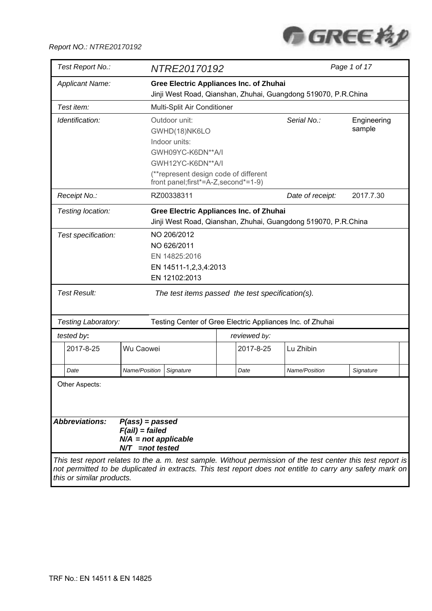

| Test Report No.:          |                                       | NTRE20170192                                                   |                                                                               |                                                                                                              | Page 1 of 17 |  |  |
|---------------------------|---------------------------------------|----------------------------------------------------------------|-------------------------------------------------------------------------------|--------------------------------------------------------------------------------------------------------------|--------------|--|--|
| <b>Applicant Name:</b>    |                                       |                                                                | <b>Gree Electric Appliances Inc. of Zhuhai</b>                                |                                                                                                              |              |  |  |
|                           |                                       |                                                                |                                                                               | Jinji West Road, Qianshan, Zhuhai, Guangdong 519070, P.R.China                                               |              |  |  |
| Test item:                |                                       | Multi-Split Air Conditioner                                    |                                                                               |                                                                                                              |              |  |  |
| Identification:           |                                       | Outdoor unit:                                                  |                                                                               | Serial No.:                                                                                                  | Engineering  |  |  |
|                           |                                       | GWHD(18)NK6LO                                                  |                                                                               |                                                                                                              | sample       |  |  |
|                           |                                       | Indoor units:                                                  |                                                                               |                                                                                                              |              |  |  |
|                           |                                       | GWH09YC-K6DN**A/I                                              |                                                                               |                                                                                                              |              |  |  |
|                           |                                       | GWH12YC-K6DN**A/I                                              |                                                                               |                                                                                                              |              |  |  |
|                           |                                       |                                                                | (**represent design code of different<br>front panel;first*=A-Z, second*=1-9) |                                                                                                              |              |  |  |
| Receipt No.:              |                                       | RZ00338311                                                     |                                                                               | Date of receipt:                                                                                             | 2017.7.30    |  |  |
| Testing location:         |                                       | <b>Gree Electric Appliances Inc. of Zhuhai</b>                 |                                                                               |                                                                                                              |              |  |  |
|                           |                                       | Jinji West Road, Qianshan, Zhuhai, Guangdong 519070, P.R.China |                                                                               |                                                                                                              |              |  |  |
| Test specification:       |                                       | NO 206/2012                                                    |                                                                               |                                                                                                              |              |  |  |
|                           |                                       | NO 626/2011                                                    |                                                                               |                                                                                                              |              |  |  |
|                           |                                       | EN 14825:2016                                                  |                                                                               |                                                                                                              |              |  |  |
|                           |                                       | EN 14511-1,2,3,4:2013                                          |                                                                               |                                                                                                              |              |  |  |
|                           |                                       | EN 12102:2013                                                  |                                                                               |                                                                                                              |              |  |  |
| <b>Test Result:</b>       |                                       |                                                                | The test items passed the test specification(s).                              |                                                                                                              |              |  |  |
| Testing Laboratory:       |                                       |                                                                | Testing Center of Gree Electric Appliances Inc. of Zhuhai                     |                                                                                                              |              |  |  |
| tested by:                |                                       |                                                                | reviewed by:                                                                  |                                                                                                              |              |  |  |
| 2017-8-25                 | Wu Caowei                             |                                                                | 2017-8-25                                                                     | Lu Zhibin                                                                                                    |              |  |  |
|                           |                                       |                                                                |                                                                               |                                                                                                              |              |  |  |
| Date                      | Name/Position                         | Signature                                                      | Date                                                                          | Name/Position                                                                                                | Signature    |  |  |
| Other Aspects:            |                                       |                                                                |                                                                               |                                                                                                              |              |  |  |
|                           |                                       |                                                                |                                                                               |                                                                                                              |              |  |  |
|                           |                                       |                                                                |                                                                               |                                                                                                              |              |  |  |
| <b>Abbreviations:</b>     |                                       |                                                                |                                                                               |                                                                                                              |              |  |  |
|                           | $P(ass) = passed$<br>$F(ai)$ = failed |                                                                |                                                                               |                                                                                                              |              |  |  |
|                           | $N/A$ = not applicable                |                                                                |                                                                               |                                                                                                              |              |  |  |
|                           | $N/T$ =not tested                     |                                                                |                                                                               |                                                                                                              |              |  |  |
|                           |                                       |                                                                |                                                                               | This test report relates to the a. m. test sample. Without permission of the test center this test report is |              |  |  |
|                           |                                       |                                                                |                                                                               | not permitted to be duplicated in extracts. This test report does not entitle to carry any safety mark on    |              |  |  |
| this or similar products. |                                       |                                                                |                                                                               |                                                                                                              |              |  |  |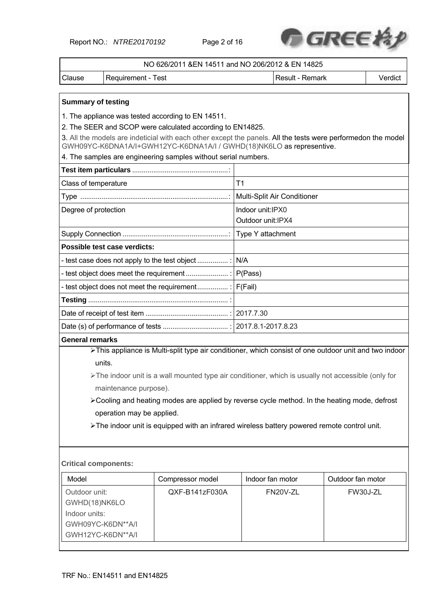Report NO.: *NTRE20170192* Page 2 of 16



|                                                                                                                                                                                      | NO 626/2011 & EN 14511 and NO 206/2012 & EN 14825                                                                                                                                                                                                                                                                                                                                                                                                                                           |                                                                                                                  |                                       |                             |                   |  |  |  |
|--------------------------------------------------------------------------------------------------------------------------------------------------------------------------------------|---------------------------------------------------------------------------------------------------------------------------------------------------------------------------------------------------------------------------------------------------------------------------------------------------------------------------------------------------------------------------------------------------------------------------------------------------------------------------------------------|------------------------------------------------------------------------------------------------------------------|---------------------------------------|-----------------------------|-------------------|--|--|--|
| Clause                                                                                                                                                                               | Requirement - Test                                                                                                                                                                                                                                                                                                                                                                                                                                                                          |                                                                                                                  |                                       | Result - Remark             | Verdict           |  |  |  |
| <b>Summary of testing</b>                                                                                                                                                            |                                                                                                                                                                                                                                                                                                                                                                                                                                                                                             | 1. The appliance was tested according to EN 14511.<br>2. The SEER and SCOP were calculated according to EN14825. |                                       |                             |                   |  |  |  |
| 3. All the models are indeticial with each other except the panels. All the tests were performedon the model<br>GWH09YC-K6DNA1A/I+GWH12YC-K6DNA1A/I / GWHD(18)NK6LO as representive. |                                                                                                                                                                                                                                                                                                                                                                                                                                                                                             |                                                                                                                  |                                       |                             |                   |  |  |  |
|                                                                                                                                                                                      | 4. The samples are engineering samples without serial numbers.                                                                                                                                                                                                                                                                                                                                                                                                                              |                                                                                                                  |                                       |                             |                   |  |  |  |
|                                                                                                                                                                                      |                                                                                                                                                                                                                                                                                                                                                                                                                                                                                             |                                                                                                                  |                                       |                             |                   |  |  |  |
| Class of temperature                                                                                                                                                                 |                                                                                                                                                                                                                                                                                                                                                                                                                                                                                             |                                                                                                                  | T <sub>1</sub>                        |                             |                   |  |  |  |
|                                                                                                                                                                                      |                                                                                                                                                                                                                                                                                                                                                                                                                                                                                             |                                                                                                                  |                                       | Multi-Split Air Conditioner |                   |  |  |  |
| Degree of protection                                                                                                                                                                 |                                                                                                                                                                                                                                                                                                                                                                                                                                                                                             |                                                                                                                  | Indoor unit:IPX0<br>Outdoor unit:IPX4 |                             |                   |  |  |  |
|                                                                                                                                                                                      |                                                                                                                                                                                                                                                                                                                                                                                                                                                                                             |                                                                                                                  | Type Y attachment                     |                             |                   |  |  |  |
|                                                                                                                                                                                      | Possible test case verdicts:                                                                                                                                                                                                                                                                                                                                                                                                                                                                |                                                                                                                  |                                       |                             |                   |  |  |  |
| N/A<br>- test case does not apply to the test object                                                                                                                                 |                                                                                                                                                                                                                                                                                                                                                                                                                                                                                             |                                                                                                                  |                                       |                             |                   |  |  |  |
|                                                                                                                                                                                      |                                                                                                                                                                                                                                                                                                                                                                                                                                                                                             |                                                                                                                  | P(Pass)                               |                             |                   |  |  |  |
| - test object does not meet the requirement :   F(Fail)                                                                                                                              |                                                                                                                                                                                                                                                                                                                                                                                                                                                                                             |                                                                                                                  |                                       |                             |                   |  |  |  |
|                                                                                                                                                                                      |                                                                                                                                                                                                                                                                                                                                                                                                                                                                                             |                                                                                                                  |                                       |                             |                   |  |  |  |
|                                                                                                                                                                                      |                                                                                                                                                                                                                                                                                                                                                                                                                                                                                             |                                                                                                                  |                                       |                             |                   |  |  |  |
|                                                                                                                                                                                      |                                                                                                                                                                                                                                                                                                                                                                                                                                                                                             |                                                                                                                  |                                       |                             |                   |  |  |  |
| <b>General remarks</b>                                                                                                                                                               |                                                                                                                                                                                                                                                                                                                                                                                                                                                                                             |                                                                                                                  |                                       |                             |                   |  |  |  |
|                                                                                                                                                                                      | >This appliance is Multi-split type air conditioner, which consist of one outdoor unit and two indoor<br>units.<br>$\triangleright$ The indoor unit is a wall mounted type air conditioner, which is usually not accessible (only for<br>maintenance purpose).<br>≻Cooling and heating modes are applied by reverse cycle method. In the heating mode, defrost<br>operation may be applied.<br>> The indoor unit is equipped with an infrared wireless battery powered remote control unit. |                                                                                                                  |                                       |                             |                   |  |  |  |
| <b>Critical components:</b>                                                                                                                                                          |                                                                                                                                                                                                                                                                                                                                                                                                                                                                                             |                                                                                                                  |                                       |                             |                   |  |  |  |
| Model                                                                                                                                                                                |                                                                                                                                                                                                                                                                                                                                                                                                                                                                                             | Compressor model                                                                                                 | Indoor fan motor                      |                             | Outdoor fan motor |  |  |  |
| Outdoor unit:<br>GWHD(18)NK6LO<br>Indoor units:<br>GWH09YC-K6DN**A/I                                                                                                                 |                                                                                                                                                                                                                                                                                                                                                                                                                                                                                             | QXF-B141zF030A                                                                                                   |                                       | FN20V-ZL                    | FW30J-ZL          |  |  |  |

GWH12YC-K6DN\*\*A/I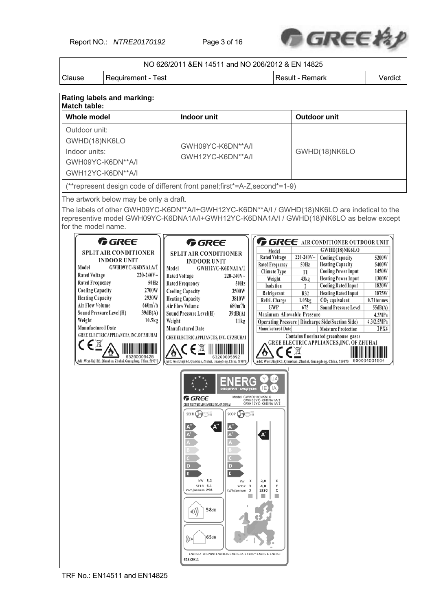Report NO.: *NTRE20170192* Page 3 of 16



|                                                                                                                                                                                                                                                                                                                                                                                                                                                                                                                                                                                                                                                                                                                                                                           |                                                                                                                                                                                                                                             | NO 626/2011 & EN 14511 and NO 206/2012 & EN 14825                                                                                                                                                                                                                                                                                                                                                                                                                                                                                                                                                             |                                                                                                                                                                                                                                                                                                                        |                                                                                                                                                                                                                                                                                                                                                                                                                                                                                                                                                                                                               |                                                                                                                |  |  |
|---------------------------------------------------------------------------------------------------------------------------------------------------------------------------------------------------------------------------------------------------------------------------------------------------------------------------------------------------------------------------------------------------------------------------------------------------------------------------------------------------------------------------------------------------------------------------------------------------------------------------------------------------------------------------------------------------------------------------------------------------------------------------|---------------------------------------------------------------------------------------------------------------------------------------------------------------------------------------------------------------------------------------------|---------------------------------------------------------------------------------------------------------------------------------------------------------------------------------------------------------------------------------------------------------------------------------------------------------------------------------------------------------------------------------------------------------------------------------------------------------------------------------------------------------------------------------------------------------------------------------------------------------------|------------------------------------------------------------------------------------------------------------------------------------------------------------------------------------------------------------------------------------------------------------------------------------------------------------------------|---------------------------------------------------------------------------------------------------------------------------------------------------------------------------------------------------------------------------------------------------------------------------------------------------------------------------------------------------------------------------------------------------------------------------------------------------------------------------------------------------------------------------------------------------------------------------------------------------------------|----------------------------------------------------------------------------------------------------------------|--|--|
| Requirement - Test<br>Clause                                                                                                                                                                                                                                                                                                                                                                                                                                                                                                                                                                                                                                                                                                                                              |                                                                                                                                                                                                                                             |                                                                                                                                                                                                                                                                                                                                                                                                                                                                                                                                                                                                               |                                                                                                                                                                                                                                                                                                                        | Result - Remark                                                                                                                                                                                                                                                                                                                                                                                                                                                                                                                                                                                               | Verdict                                                                                                        |  |  |
| Rating labels and marking:                                                                                                                                                                                                                                                                                                                                                                                                                                                                                                                                                                                                                                                                                                                                                |                                                                                                                                                                                                                                             |                                                                                                                                                                                                                                                                                                                                                                                                                                                                                                                                                                                                               |                                                                                                                                                                                                                                                                                                                        |                                                                                                                                                                                                                                                                                                                                                                                                                                                                                                                                                                                                               |                                                                                                                |  |  |
| <b>Match table:</b>                                                                                                                                                                                                                                                                                                                                                                                                                                                                                                                                                                                                                                                                                                                                                       |                                                                                                                                                                                                                                             |                                                                                                                                                                                                                                                                                                                                                                                                                                                                                                                                                                                                               |                                                                                                                                                                                                                                                                                                                        |                                                                                                                                                                                                                                                                                                                                                                                                                                                                                                                                                                                                               |                                                                                                                |  |  |
| <b>Whole model</b>                                                                                                                                                                                                                                                                                                                                                                                                                                                                                                                                                                                                                                                                                                                                                        |                                                                                                                                                                                                                                             | Indoor unit                                                                                                                                                                                                                                                                                                                                                                                                                                                                                                                                                                                                   |                                                                                                                                                                                                                                                                                                                        | Outdoor unit                                                                                                                                                                                                                                                                                                                                                                                                                                                                                                                                                                                                  |                                                                                                                |  |  |
| Outdoor unit:<br>GWHD(18)NK6LO<br>Indoor units:<br>GWH09YC-K6DN**A/I<br>GWH12YC-K6DN**A/I                                                                                                                                                                                                                                                                                                                                                                                                                                                                                                                                                                                                                                                                                 |                                                                                                                                                                                                                                             | GWH09YC-K6DN**A/I<br>GWH12YC-K6DN**A/I                                                                                                                                                                                                                                                                                                                                                                                                                                                                                                                                                                        |                                                                                                                                                                                                                                                                                                                        | GWHD(18)NK6LO                                                                                                                                                                                                                                                                                                                                                                                                                                                                                                                                                                                                 |                                                                                                                |  |  |
| (**represent design code of different front panel; first*=A-Z, second*=1-9)                                                                                                                                                                                                                                                                                                                                                                                                                                                                                                                                                                                                                                                                                               |                                                                                                                                                                                                                                             |                                                                                                                                                                                                                                                                                                                                                                                                                                                                                                                                                                                                               |                                                                                                                                                                                                                                                                                                                        |                                                                                                                                                                                                                                                                                                                                                                                                                                                                                                                                                                                                               |                                                                                                                |  |  |
| The artwork below may be only a draft.<br>The labels of other GWH09YC-K6DN**A/I+GWH12YC-K6DN**A/I / GWHD(18)NK6LO are indetical to the<br>representive model GWH09YC-K6DNA1A/I+GWH12YC-K6DNA1A/I / GWHD(18)NK6LO as below except<br>for the model name.<br><b>G</b> GREE<br><b>SPLIT AIR CONDITIONER</b><br><b>INDOOR UNIT</b><br>Model<br>GWH09YC-K6DNA1A/I<br><b>Rated Voltage</b><br>$220 - 240V$ ~<br><b>Rated Frequency</b><br>50Hz<br>2700W<br><b>Cooling Capacity</b><br>2930W<br><b>Heating Capacity</b><br><b>Air Flow Volume</b><br>$660m^3/h$<br>Sound Pressure Level(H)<br>39dB(A)<br>Weight<br>10.5kg<br><b>Manufactured Date</b><br><b>GREE ELECTRIC APPLIANCES, INC.OF ZHUHAI</b><br>〔∈风<br>Add: West Jinji Rd, Qianshan, Zhuhai, Guangdong, China, 519070 | Model<br><b>Rated Voltage</b><br><b>Rated Frequency</b><br><b>Cooling Capacity</b><br><b>Heating Capacity</b><br><b>Air Flow Volume</b><br><b>Sound Pressure Level(H)</b><br>Weight<br><b>Manufactured Date</b><br>SEER (<br>4)<br>626/2011 | <b>G</b> GREE<br><b>SPLIT AIR CONDITIONER</b><br><b>INDOOR UNIT</b><br>GWH12YC-K6DNA1A/I<br>$220 - 240V$ ~<br>50Hz<br>3500W<br>3810W<br>$680m^3/h$<br>39dB(A)<br>11kg<br>GREE ELECTRIC APPLIANCES, INC. OF ZHUHAI<br>∈⊠<br>Add: West Jinji Rd, Qianshan, Zhuhai, Guangdong, China, 519070<br><b>ENERG</b><br>енергия · ενεργεια<br>Model GWHD(18)NK6LO<br><b>G</b> REE<br>GREE ELECTRICAPPLIANCES INC. OF ZHUHAI<br>SCOP<br>kW 5,2<br>kW.<br>$\mathbf x$<br>SEER 6.1<br>SCOP<br>$\mathbf{x}$<br>kWh/annum 298<br>kWh/annum<br>X<br>$58$ dB<br>65dB<br>ENERGIA-EHEPTAJ-ENEPTEIA-ENERGIJA-ENERGY-ENERGIE-ENERGI | Model<br><b>Rated Voltage</b><br><b>Rated Frequency</b><br><b>Climate Type</b><br>Weight<br>Isolation<br>Refrigerant<br>Refri. Charge<br><b>GWP</b><br>Maximum Allowable Pressure<br>Manufactured Date<br>KY.<br>(IJA)<br>IΕ<br>IА<br>GWH09YC-K6DNA1A/I<br>GWH12YC-K6DNA1A/I<br>3.8<br>х<br>x<br>4,0<br>1330<br>x<br>ш | $\bigcap$ GREE AIR CONDITIONER OUTDOOR UNIT<br>GWHD(18)NK6LO<br>220-240V~<br><b>Cooling Capacity</b><br><b>Heating Capacity</b><br>50Hz<br><b>Cooling Power Input</b><br>T1<br><b>Heating Power Input</b><br>43kg<br><b>Cooling Rated Input</b><br>L<br><b>Heating Rated Input</b><br>R32<br>$CO2$ equivalent<br>1.05kg<br>675<br><b>Sound Pressure Level</b><br>Operating Pressure (Discharge Side/Suction Side)<br><b>Moisture Protection</b><br>Contains fluorinated greenhouse gases<br><b>GREE ELECTRIC APPLIANCES, INC. OF ZHUHAI</b><br>Add: West Jinji Rd, Qianshan, Zhuhai, Guangdong, China, 519070 | 5200W<br>5400W<br>1450W<br>1300W<br>1820W<br>1875W<br>$0.71$ tonnes<br>55dB(A)<br>4.3MPa<br>4.3/2.5MPa<br>IPX4 |  |  |

TRF No.: EN14511 and EN14825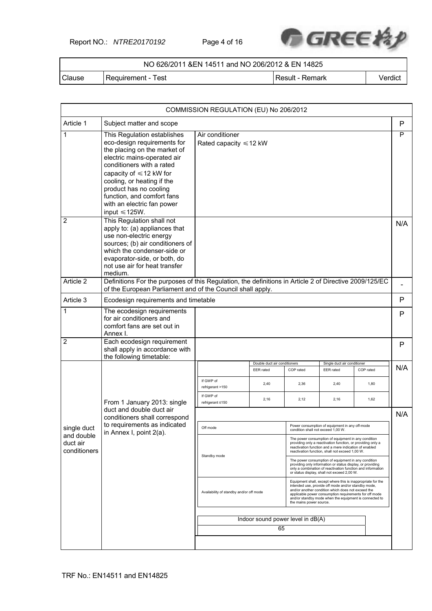Report NO.: *NTRE20170192* Page 4 of 16



| NO 626/2011 & EN 14511 and NO 206/2012 & EN 14825 |                    |                 |         |  |  |  |  |
|---------------------------------------------------|--------------------|-----------------|---------|--|--|--|--|
| Clause                                            | Requirement - Test | Result - Remark | Verdict |  |  |  |  |

|                                        |                                                                                                                                                                                                                                                                                                                                   | COMMISSION REGULATION (EU) No 206/2012                                                                                                                                                                                                                                                                                                                             |                                           |              |                                                                                                                                                                                                                                 |              |     |  |
|----------------------------------------|-----------------------------------------------------------------------------------------------------------------------------------------------------------------------------------------------------------------------------------------------------------------------------------------------------------------------------------|--------------------------------------------------------------------------------------------------------------------------------------------------------------------------------------------------------------------------------------------------------------------------------------------------------------------------------------------------------------------|-------------------------------------------|--------------|---------------------------------------------------------------------------------------------------------------------------------------------------------------------------------------------------------------------------------|--------------|-----|--|
| Article 1                              | Subject matter and scope                                                                                                                                                                                                                                                                                                          |                                                                                                                                                                                                                                                                                                                                                                    |                                           |              |                                                                                                                                                                                                                                 |              | P   |  |
| 1                                      | This Regulation establishes<br>eco-design requirements for<br>the placing on the market of<br>electric mains-operated air<br>conditioners with a rated<br>capacity of $\leq 12$ kW for<br>cooling, or heating if the<br>product has no cooling<br>function, and comfort fans<br>with an electric fan power<br>input $\leq 125W$ . | Air conditioner<br>Rated capacity $\leq 12$ kW                                                                                                                                                                                                                                                                                                                     |                                           |              |                                                                                                                                                                                                                                 |              | P   |  |
| $\overline{2}$                         | This Regulation shall not<br>apply to: (a) appliances that<br>use non-electric energy<br>sources; (b) air conditioners of<br>which the condenser-side or<br>evaporator-side, or both, do<br>not use air for heat transfer<br>medium.                                                                                              |                                                                                                                                                                                                                                                                                                                                                                    |                                           |              |                                                                                                                                                                                                                                 |              | N/A |  |
| Article 2                              | Definitions For the purposes of this Regulation, the definitions in Article 2 of Directive 2009/125/EC<br>of the European Parliament and of the Council shall apply.                                                                                                                                                              |                                                                                                                                                                                                                                                                                                                                                                    |                                           |              |                                                                                                                                                                                                                                 |              |     |  |
| Article 3                              | Ecodesign requirements and timetable                                                                                                                                                                                                                                                                                              |                                                                                                                                                                                                                                                                                                                                                                    |                                           |              |                                                                                                                                                                                                                                 |              | P   |  |
| 1                                      | The ecodesign requirements<br>for air conditioners and<br>comfort fans are set out in<br>Annex I.                                                                                                                                                                                                                                 |                                                                                                                                                                                                                                                                                                                                                                    |                                           |              |                                                                                                                                                                                                                                 |              |     |  |
| $\overline{2}$                         | Each ecodesign requirement<br>shall apply in accordance with<br>the following timetable:                                                                                                                                                                                                                                          |                                                                                                                                                                                                                                                                                                                                                                    |                                           |              |                                                                                                                                                                                                                                 |              | P   |  |
|                                        |                                                                                                                                                                                                                                                                                                                                   |                                                                                                                                                                                                                                                                                                                                                                    | Double duct air conditioners<br>EER rated | COP rated    | Single duct air conditioner<br>EER rated                                                                                                                                                                                        | COP rated    | N/A |  |
|                                        |                                                                                                                                                                                                                                                                                                                                   | If GWP of<br>refrigerant >150<br>If GWP of                                                                                                                                                                                                                                                                                                                         | 2,40<br>2,16                              | 2,36<br>2,12 | 2,40<br>2,16                                                                                                                                                                                                                    | 1,80<br>1,62 |     |  |
|                                        | From 1 January 2013: single<br>duct and double duct air<br>conditioners shall correspond                                                                                                                                                                                                                                          | refrigerant ≤150                                                                                                                                                                                                                                                                                                                                                   |                                           |              |                                                                                                                                                                                                                                 |              | N/A |  |
| single duct                            | to requirements as indicated                                                                                                                                                                                                                                                                                                      | Off mode                                                                                                                                                                                                                                                                                                                                                           |                                           |              | Power consumption of equipment in any off-mode<br>condition shall not exceed 1,00 W.                                                                                                                                            |              |     |  |
| and double<br>duct air<br>conditioners | in Annex I, point 2(a).                                                                                                                                                                                                                                                                                                           |                                                                                                                                                                                                                                                                                                                                                                    |                                           |              | The power consumption of equipment in any condition<br>providing only a reactivation function, or providing only a<br>reactivation function and a mere indication of enabled<br>reactivation function, shall not exceed 1.00 W. |              |     |  |
|                                        |                                                                                                                                                                                                                                                                                                                                   | Standby mode                                                                                                                                                                                                                                                                                                                                                       |                                           |              | The power consumption of equipment in any condition<br>providing only information or status display, or providing<br>only a combination of reactivation function and information<br>or status display, shall not exceed 2,00 W. |              |     |  |
|                                        |                                                                                                                                                                                                                                                                                                                                   | Equipment shall, except where this is inappropriate for the<br>intended use, provide off mode and/or standby mode,<br>and/or another condition which does not exceed the<br>Availability of standby and/or off mode<br>applicable power consumption requirements for off mode<br>and/or standby mode when the equipment is connected to<br>the mains power source. |                                           |              |                                                                                                                                                                                                                                 |              |     |  |
|                                        |                                                                                                                                                                                                                                                                                                                                   | Indoor sound power level in dB(A)                                                                                                                                                                                                                                                                                                                                  |                                           |              |                                                                                                                                                                                                                                 |              |     |  |
|                                        |                                                                                                                                                                                                                                                                                                                                   |                                                                                                                                                                                                                                                                                                                                                                    |                                           | 65           |                                                                                                                                                                                                                                 |              |     |  |
|                                        |                                                                                                                                                                                                                                                                                                                                   |                                                                                                                                                                                                                                                                                                                                                                    |                                           |              |                                                                                                                                                                                                                                 |              |     |  |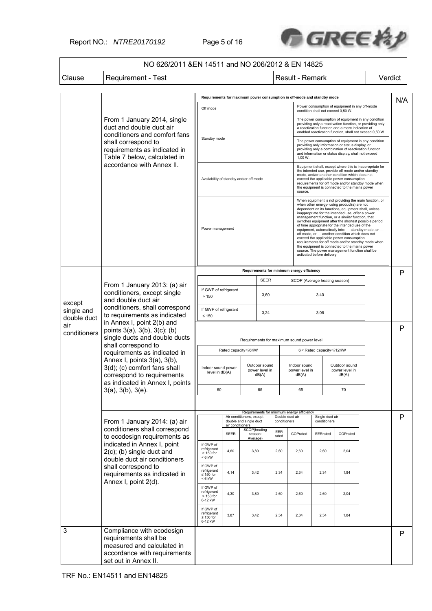Report NO.: *NTRE20170192* Page 5 of 16



# NO 626/2011 &EN 14511 and NO 206/2012 & EN 14825

Clause | Requirement - Test | Next | Result - Remark | Verdict

|                                                                                                                                  |                                                                                                                                          |                                                                                        |                  |                                                    |                                          |                                 | Requirements for maximum power consumption in off-mode and standby mode |                                                                                                                                                                                                                                                                                                                                                                                                                                                                                                                                                                                                                                                                                                                              | Power consumption of equipment in any off-mode                                                                                                                                                                                  |  | N/A |
|----------------------------------------------------------------------------------------------------------------------------------|------------------------------------------------------------------------------------------------------------------------------------------|----------------------------------------------------------------------------------------|------------------|----------------------------------------------------|------------------------------------------|---------------------------------|-------------------------------------------------------------------------|------------------------------------------------------------------------------------------------------------------------------------------------------------------------------------------------------------------------------------------------------------------------------------------------------------------------------------------------------------------------------------------------------------------------------------------------------------------------------------------------------------------------------------------------------------------------------------------------------------------------------------------------------------------------------------------------------------------------------|---------------------------------------------------------------------------------------------------------------------------------------------------------------------------------------------------------------------------------|--|-----|
|                                                                                                                                  | From 1 January 2014, single<br>duct and double duct air<br>conditioners and comfort fans                                                 | Off mode                                                                               |                  |                                                    |                                          |                                 |                                                                         | condition shall not exceed 0,50 W.                                                                                                                                                                                                                                                                                                                                                                                                                                                                                                                                                                                                                                                                                           | The power consumption of equipment in any condition<br>providing only a reactivation function, or providing only<br>a reactivation function and a mere indication of<br>enabled reactivation function, shall not exceed 0,50 W. |  |     |
|                                                                                                                                  | shall correspond to<br>requirements as indicated in<br>Table 7 below, calculated in                                                      | Standby mode                                                                           |                  |                                                    |                                          |                                 | 1,00 W.                                                                 | The power consumption of equipment in any condition<br>providing only information or status display, or<br>providing only a combination of reactivation function<br>and information or status display, shall not exceed                                                                                                                                                                                                                                                                                                                                                                                                                                                                                                      |                                                                                                                                                                                                                                 |  |     |
|                                                                                                                                  | accordance with Annex II.                                                                                                                | Availability of standby and/or off mode                                                |                  |                                                    |                                          |                                 | source.                                                                 | Equipment shall, except where this is inappropriate for<br>the intended use, provide off mode and/or standby<br>mode, and/or another condition which does not<br>exceed the applicable power consumption<br>requirements for off mode and/or standby mode when<br>the equipment is connected to the mains power                                                                                                                                                                                                                                                                                                                                                                                                              |                                                                                                                                                                                                                                 |  |     |
|                                                                                                                                  |                                                                                                                                          |                                                                                        | Power management |                                                    |                                          |                                 |                                                                         | When equipment is not providing the main function, or<br>when other energy- using product(s) are not<br>dependent on its functions, equipment shall, unless<br>inappropriate for the intended use, offer a power<br>management function, or a similar function, that<br>switches equipment after the shortest possible period<br>of time appropriate for the intended use of the<br>equipment, automatically into: - standby mode, or -<br>off mode, or - another condition which does not<br>exceed the applicable power consumption<br>requirements for off mode and/or standby mode when<br>the equipment is connected to the mains power<br>source. The power management function shall be<br>activated before delivery. |                                                                                                                                                                                                                                 |  |     |
|                                                                                                                                  |                                                                                                                                          |                                                                                        |                  |                                                    |                                          |                                 | Requirements for minimum energy efficiency                              |                                                                                                                                                                                                                                                                                                                                                                                                                                                                                                                                                                                                                                                                                                                              |                                                                                                                                                                                                                                 |  | P   |
|                                                                                                                                  | From 1 January 2013: (a) air                                                                                                             |                                                                                        |                  |                                                    | <b>SEER</b>                              |                                 |                                                                         | SCOP (Average heating season)                                                                                                                                                                                                                                                                                                                                                                                                                                                                                                                                                                                                                                                                                                |                                                                                                                                                                                                                                 |  |     |
| except                                                                                                                           | conditioners, except single<br>and double duct air                                                                                       | If GWP of refrigerant<br>3,60<br>>150                                                  |                  |                                                    | 3,40                                     |                                 |                                                                         |                                                                                                                                                                                                                                                                                                                                                                                                                                                                                                                                                                                                                                                                                                                              |                                                                                                                                                                                                                                 |  |     |
| conditioners, shall correspond<br>single and<br>to requirements as indicated<br>double duct<br>in Annex I, point 2(b) and<br>air | If GWP of refrigerant<br>3,24<br>$\leq 150$                                                                                              |                                                                                        |                  |                                                    | 3,06                                     |                                 |                                                                         |                                                                                                                                                                                                                                                                                                                                                                                                                                                                                                                                                                                                                                                                                                                              |                                                                                                                                                                                                                                 |  |     |
| conditioners                                                                                                                     | points 3(a), 3(b), 3(c); (b)<br>single ducts and double ducts                                                                            | Requirements for maximum sound power level                                             |                  |                                                    |                                          |                                 |                                                                         |                                                                                                                                                                                                                                                                                                                                                                                                                                                                                                                                                                                                                                                                                                                              | P                                                                                                                                                                                                                               |  |     |
|                                                                                                                                  | shall correspond to<br>requirements as indicated in                                                                                      | Rated capacity <6KW<br>6 <rated capacity="" td="" ≤12kw<=""><td></td><td></td></rated> |                  |                                                    |                                          |                                 |                                                                         |                                                                                                                                                                                                                                                                                                                                                                                                                                                                                                                                                                                                                                                                                                                              |                                                                                                                                                                                                                                 |  |     |
|                                                                                                                                  | Annex I, points 3(a), 3(b),<br>3(d); (c) comfort fans shall<br>correspond to requirements<br>as indicated in Annex I, points             | Indoor sound power<br>level in dB(A)                                                   |                  |                                                    | Outdoor sound<br>power level in<br>dB(A) |                                 | Indoor sound<br>power level in<br>dB(A)                                 |                                                                                                                                                                                                                                                                                                                                                                                                                                                                                                                                                                                                                                                                                                                              | Outdoor sound<br>power level in<br>dB(A)                                                                                                                                                                                        |  |     |
|                                                                                                                                  | 3(a), 3(b), 3(e).                                                                                                                        | 60                                                                                     |                  |                                                    | 65                                       |                                 | 65                                                                      |                                                                                                                                                                                                                                                                                                                                                                                                                                                                                                                                                                                                                                                                                                                              | 70                                                                                                                                                                                                                              |  |     |
|                                                                                                                                  |                                                                                                                                          |                                                                                        |                  |                                                    |                                          |                                 |                                                                         |                                                                                                                                                                                                                                                                                                                                                                                                                                                                                                                                                                                                                                                                                                                              |                                                                                                                                                                                                                                 |  |     |
|                                                                                                                                  | From 1 January 2014: (a) air                                                                                                             |                                                                                        | air conditioners | Air conditioners, except<br>double and single duct |                                          | Double duct air<br>conditioners | Requirements for minimum energy efficiency                              | Single duct air<br>conditioners                                                                                                                                                                                                                                                                                                                                                                                                                                                                                                                                                                                                                                                                                              |                                                                                                                                                                                                                                 |  | P   |
|                                                                                                                                  | conditioners shall correspond<br>to ecodesign requirements as                                                                            |                                                                                        | <b>SEER</b>      | SCOP(heating<br>season:<br>Average)                |                                          | EER<br>rated                    | COPrated                                                                | EERrated                                                                                                                                                                                                                                                                                                                                                                                                                                                                                                                                                                                                                                                                                                                     | COPrated                                                                                                                                                                                                                        |  |     |
|                                                                                                                                  | indicated in Annex I, point<br>$2(c)$ ; (b) single duct and<br>double duct air conditioners                                              | If GWP of<br>refrigerant<br>$>150$ for<br>$< 6$ kW                                     | 4,60             | 3,80                                               |                                          | 2,60                            | 2,60                                                                    | 2,60                                                                                                                                                                                                                                                                                                                                                                                                                                                                                                                                                                                                                                                                                                                         | 2,04                                                                                                                                                                                                                            |  |     |
|                                                                                                                                  | shall correspond to<br>requirements as indicated in                                                                                      | If GWP of<br>refrigerant<br>$\leq 150$ for<br>$< 6$ kW                                 | 4,14             | 3,42                                               |                                          | 2,34                            | 2,34                                                                    | 2,34                                                                                                                                                                                                                                                                                                                                                                                                                                                                                                                                                                                                                                                                                                                         | 1,84                                                                                                                                                                                                                            |  |     |
|                                                                                                                                  | Annex I, point 2(d).                                                                                                                     | If GWP of<br>refrigerant<br>$>150$ for<br>6-12 kW                                      | 4,30             | 3,80                                               |                                          | 2,60                            | 2,60                                                                    | 2,60                                                                                                                                                                                                                                                                                                                                                                                                                                                                                                                                                                                                                                                                                                                         | 2,04                                                                                                                                                                                                                            |  |     |
|                                                                                                                                  |                                                                                                                                          | If GWP of<br>refrigerant<br>$\leq 150$ for<br>6-12 kW                                  | 3,87             | 3,42                                               |                                          | 2,34                            | 2,34                                                                    | 2,34                                                                                                                                                                                                                                                                                                                                                                                                                                                                                                                                                                                                                                                                                                                         | 1,84                                                                                                                                                                                                                            |  |     |
| 3                                                                                                                                | Compliance with ecodesign<br>requirements shall be<br>measured and calculated in<br>accordance with requirements<br>set out in Annex II. |                                                                                        |                  |                                                    |                                          |                                 |                                                                         |                                                                                                                                                                                                                                                                                                                                                                                                                                                                                                                                                                                                                                                                                                                              |                                                                                                                                                                                                                                 |  | P   |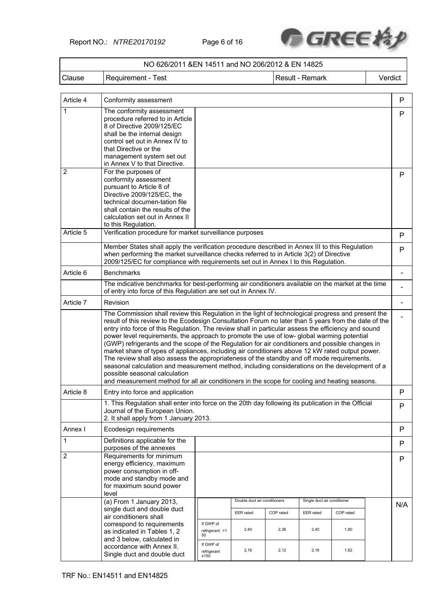Report NO.: *NTRE20170192* Page 6 of 16



|                | NO 626/2011 &EN 14511 and NO 206/2012 & EN 14825                                                                                                                                                                                                                                                                                                                                                                                                                                                                                                                                                                                                                                                                                                                                                                                                                                                                                                       |                                   |                              |           |                             |           |         |     |
|----------------|--------------------------------------------------------------------------------------------------------------------------------------------------------------------------------------------------------------------------------------------------------------------------------------------------------------------------------------------------------------------------------------------------------------------------------------------------------------------------------------------------------------------------------------------------------------------------------------------------------------------------------------------------------------------------------------------------------------------------------------------------------------------------------------------------------------------------------------------------------------------------------------------------------------------------------------------------------|-----------------------------------|------------------------------|-----------|-----------------------------|-----------|---------|-----|
| Clause         | Requirement - Test                                                                                                                                                                                                                                                                                                                                                                                                                                                                                                                                                                                                                                                                                                                                                                                                                                                                                                                                     |                                   |                              |           | Result - Remark             |           | Verdict |     |
| Article 4      | Conformity assessment                                                                                                                                                                                                                                                                                                                                                                                                                                                                                                                                                                                                                                                                                                                                                                                                                                                                                                                                  |                                   |                              |           |                             |           |         | P   |
| 1              | The conformity assessment<br>procedure referred to in Article<br>8 of Directive 2009/125/EC<br>shall be the internal design<br>control set out in Annex IV to<br>that Directive or the<br>management system set out<br>in Annex V to that Directive.                                                                                                                                                                                                                                                                                                                                                                                                                                                                                                                                                                                                                                                                                                   |                                   |                              |           |                             |           |         | P   |
| $\overline{2}$ | For the purposes of<br>conformity assessment<br>pursuant to Article 8 of<br>Directive 2009/125/EC, the<br>technical documen-tation file<br>shall contain the results of the<br>calculation set out in Annex II<br>to this Regulation.                                                                                                                                                                                                                                                                                                                                                                                                                                                                                                                                                                                                                                                                                                                  |                                   |                              |           |                             |           |         | P   |
| Article 5      | Verification procedure for market surveillance purposes                                                                                                                                                                                                                                                                                                                                                                                                                                                                                                                                                                                                                                                                                                                                                                                                                                                                                                |                                   |                              |           |                             |           |         | P   |
|                | Member States shall apply the verification procedure described in Annex III to this Regulation<br>when performing the market surveillance checks referred to in Article 3(2) of Directive<br>2009/125/EC for compliance with requirements set out in Annex I to this Regulation.                                                                                                                                                                                                                                                                                                                                                                                                                                                                                                                                                                                                                                                                       |                                   |                              |           |                             |           |         | P   |
| Article 6      | <b>Benchmarks</b>                                                                                                                                                                                                                                                                                                                                                                                                                                                                                                                                                                                                                                                                                                                                                                                                                                                                                                                                      |                                   |                              |           |                             |           |         |     |
|                | The indicative benchmarks for best-performing air conditioners available on the market at the time<br>of entry into force of this Regulation are set out in Annex IV.                                                                                                                                                                                                                                                                                                                                                                                                                                                                                                                                                                                                                                                                                                                                                                                  |                                   |                              |           |                             |           |         |     |
| Article 7      | Revision                                                                                                                                                                                                                                                                                                                                                                                                                                                                                                                                                                                                                                                                                                                                                                                                                                                                                                                                               |                                   |                              |           |                             |           |         |     |
|                | The Commission shall review this Regulation in the light of technological progress and present the<br>result of this review to the Ecodesign Consultation Forum no later than 5 years from the date of the<br>entry into force of this Regulation. The review shall in particular assess the efficiency and sound<br>power level requirements, the approach to promote the use of low- global warming potential<br>(GWP) refrigerants and the scope of the Regulation for air conditioners and possible changes in<br>market share of types of appliances, including air conditioners above 12 kW rated output power.<br>The review shall also assess the appropriateness of the standby and off mode requirements,<br>seasonal calculation and measurement method, including considerations on the development of a<br>possible seasonal calculation<br>and measurement method for all air conditioners in the scope for cooling and heating seasons. |                                   |                              |           |                             |           |         |     |
| Article 8      | Entry into force and application                                                                                                                                                                                                                                                                                                                                                                                                                                                                                                                                                                                                                                                                                                                                                                                                                                                                                                                       |                                   |                              |           |                             |           |         | P   |
|                | 1. This Regulation shall enter into force on the 20th day following its publication in the Official<br>Journal of the European Union.<br>2. It shall apply from 1 January 2013.                                                                                                                                                                                                                                                                                                                                                                                                                                                                                                                                                                                                                                                                                                                                                                        |                                   |                              |           |                             |           |         | P   |
| Annex I        | Ecodesign requirements                                                                                                                                                                                                                                                                                                                                                                                                                                                                                                                                                                                                                                                                                                                                                                                                                                                                                                                                 |                                   |                              |           |                             |           |         | P   |
| 1              | Definitions applicable for the<br>purposes of the annexes                                                                                                                                                                                                                                                                                                                                                                                                                                                                                                                                                                                                                                                                                                                                                                                                                                                                                              |                                   |                              |           |                             |           |         | P   |
| $\overline{2}$ | Requirements for minimum<br>energy efficiency, maximum<br>power consumption in off-<br>mode and standby mode and<br>for maximum sound power<br>level                                                                                                                                                                                                                                                                                                                                                                                                                                                                                                                                                                                                                                                                                                                                                                                                   |                                   |                              |           |                             |           |         | P   |
|                | (a) From 1 January 2013,                                                                                                                                                                                                                                                                                                                                                                                                                                                                                                                                                                                                                                                                                                                                                                                                                                                                                                                               |                                   | Double duct air conditioners |           | Single duct air conditioner |           |         | N/A |
|                | single duct and double duct<br>air conditioners shall                                                                                                                                                                                                                                                                                                                                                                                                                                                                                                                                                                                                                                                                                                                                                                                                                                                                                                  |                                   | EER rated                    | COP rated | EER rated                   | COP rated |         |     |
|                | correspond to requirements<br>as indicated in Tables 1, 2<br>and 3 below, calculated in                                                                                                                                                                                                                                                                                                                                                                                                                                                                                                                                                                                                                                                                                                                                                                                                                                                                | If GWP of<br>refrigerant >1<br>50 | 2,40                         | 2,36      | 2,40                        | 1,80      |         |     |
|                | accordance with Annex II.<br>Single duct and double duct                                                                                                                                                                                                                                                                                                                                                                                                                                                                                                                                                                                                                                                                                                                                                                                                                                                                                               | If GWP of<br>refrigerant<br>≤150  | 2,16                         | 2,12      | 2,16                        | 1,62      |         |     |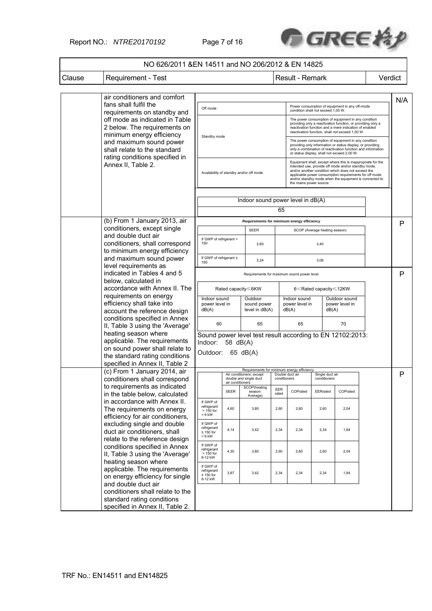Report NO.: *NTRE20170192* Page 7 of 16



|        | NO 626/2011 & EN 14511 and NO 206/2012 & EN 14825                                           |                                |                                            |                                                                        |              |                                                                                                                                                                                                                                                                                                                         |                                                                              |          |  |         |
|--------|---------------------------------------------------------------------------------------------|--------------------------------|--------------------------------------------|------------------------------------------------------------------------|--------------|-------------------------------------------------------------------------------------------------------------------------------------------------------------------------------------------------------------------------------------------------------------------------------------------------------------------------|------------------------------------------------------------------------------|----------|--|---------|
| Clause | <b>Requirement - Test</b>                                                                   |                                |                                            |                                                                        |              | Result - Remark                                                                                                                                                                                                                                                                                                         |                                                                              |          |  | Verdict |
|        |                                                                                             |                                |                                            |                                                                        |              |                                                                                                                                                                                                                                                                                                                         |                                                                              |          |  |         |
|        | air conditioners and comfort<br>fans shall fulfil the                                       |                                |                                            |                                                                        |              |                                                                                                                                                                                                                                                                                                                         |                                                                              |          |  | N/A     |
|        | requirements on standby and                                                                 | Off mode                       |                                            |                                                                        |              | Power consumption of equipment in any off-mode<br>condition shall not exceed 1,00 W.                                                                                                                                                                                                                                    |                                                                              |          |  |         |
|        | off mode as indicated in Table<br>2 below. The requirements on<br>minimum energy efficiency |                                |                                            |                                                                        |              | The power consumption of equipment in any condition<br>providing only a reactivation function, or providing only a<br>reactivation function and a mere indication of enabled<br>reactivation function, shall not exceed 1.00 W.                                                                                         |                                                                              |          |  |         |
|        | and maximum sound power<br>shall relate to the standard<br>rating conditions specified in   | Standby mode                   |                                            |                                                                        |              | The power consumption of equipment in any condition<br>providing only information or status display, or providing<br>only a combination of reactivation function and information<br>or status display, shall not exceed 2,00 W.                                                                                         |                                                                              |          |  |         |
|        | Annex II, Table 2.                                                                          |                                | Availability of standby and/or off mode    |                                                                        |              | Equipment shall, except where this is inappropriate for the<br>intended use, provide off mode and/or standby mode,<br>and/or another condition which does not exceed the<br>applicable power consumption requirements for off mode<br>and/or standby mode when the equipment is connected to<br>the mains power source. |                                                                              |          |  |         |
|        |                                                                                             |                                | Indoor sound power level in dB(A)          |                                                                        |              |                                                                                                                                                                                                                                                                                                                         |                                                                              |          |  |         |
|        |                                                                                             |                                |                                            |                                                                        | 65           |                                                                                                                                                                                                                                                                                                                         |                                                                              |          |  |         |
|        | (b) From 1 January 2013, air                                                                |                                |                                            | Requirements for minimum energy efficiency                             |              |                                                                                                                                                                                                                                                                                                                         |                                                                              |          |  | P       |
|        | conditioners, except single<br>and double duct air                                          |                                |                                            | <b>SEER</b>                                                            |              |                                                                                                                                                                                                                                                                                                                         | SCOP (Average heating season)                                                |          |  |         |
|        | conditioners, shall correspond                                                              | If GWP of refrigerant ><br>150 |                                            | 3,60                                                                   |              |                                                                                                                                                                                                                                                                                                                         | 3,40                                                                         |          |  |         |
|        | to minimum energy efficiency                                                                |                                |                                            |                                                                        |              |                                                                                                                                                                                                                                                                                                                         |                                                                              |          |  |         |
|        | and maximum sound power                                                                     | If GWP of refrigerant ≤<br>150 |                                            | 3,24                                                                   |              |                                                                                                                                                                                                                                                                                                                         | 3,06                                                                         |          |  |         |
|        | level requirements as                                                                       |                                |                                            |                                                                        |              |                                                                                                                                                                                                                                                                                                                         |                                                                              |          |  |         |
|        | indicated in Tables 4 and 5                                                                 |                                | Requirements for maximum sound power level |                                                                        |              |                                                                                                                                                                                                                                                                                                                         |                                                                              |          |  | P       |
|        | below, calculated in<br>accordance with Annex II. The                                       | Rated capacity≤6KW             |                                            |                                                                        |              |                                                                                                                                                                                                                                                                                                                         |                                                                              |          |  |         |
|        | requirements on energy                                                                      |                                |                                            |                                                                        |              |                                                                                                                                                                                                                                                                                                                         | 6 <rated 12kw<="" capacity="" td="" ≤=""><td></td><td></td><td></td></rated> |          |  |         |
|        | efficiency shall take into                                                                  | Indoor sound<br>power level in |                                            | Outdoor                                                                | sound power  |                                                                                                                                                                                                                                                                                                                         | Indoor sound<br>Outdoor sound<br>power level in<br>power level in            |          |  |         |
|        | account the reference design                                                                | dB(A)                          |                                            | level in dB(A)                                                         |              | dB(A)                                                                                                                                                                                                                                                                                                                   |                                                                              | dB(A)    |  |         |
|        | conditions specified in Annex                                                               | 60                             |                                            | 65                                                                     |              | 65                                                                                                                                                                                                                                                                                                                      |                                                                              | 70       |  |         |
|        | II, Table 3 using the 'Average'                                                             |                                |                                            |                                                                        |              |                                                                                                                                                                                                                                                                                                                         |                                                                              |          |  |         |
|        | heating season where<br>applicable. The requirements                                        |                                |                                            | Sound power level test result according to EN 12102:2013:              |              |                                                                                                                                                                                                                                                                                                                         |                                                                              |          |  |         |
|        | on sound power shall relate to                                                              | Indoor: 58 dB(A)               |                                            |                                                                        |              |                                                                                                                                                                                                                                                                                                                         |                                                                              |          |  |         |
|        | the standard rating conditions                                                              | Outdoor: 65 dB(A)              |                                            |                                                                        |              |                                                                                                                                                                                                                                                                                                                         |                                                                              |          |  |         |
|        | specified in Annex II, Table 2                                                              |                                |                                            |                                                                        |              |                                                                                                                                                                                                                                                                                                                         |                                                                              |          |  |         |
|        | (c) From 1 January 2014, air                                                                |                                |                                            | Requirements for minimum energy efficiency<br>Air conditioners, except |              | Double duct air                                                                                                                                                                                                                                                                                                         | Single duct air                                                              |          |  | P       |
|        | conditioners shall correspond                                                               |                                | air conditioners                           | double and single duct                                                 | conditioners |                                                                                                                                                                                                                                                                                                                         | conditioners                                                                 |          |  |         |
|        | to requirements as indicated<br>in the table below, calculated                              |                                | <b>SEER</b>                                | SCOP(heating<br>season:                                                | EER<br>rated | COPrated                                                                                                                                                                                                                                                                                                                | EERrated                                                                     | COPrated |  |         |
|        | in accordance with Annex II.                                                                | If GWP of                      |                                            | Average)                                                               |              |                                                                                                                                                                                                                                                                                                                         |                                                                              |          |  |         |
|        | The requirements on energy                                                                  | refrigerant<br>> 150 for       | 4,60                                       | 3,80                                                                   | 2,60         | 2,60                                                                                                                                                                                                                                                                                                                    | 2,60                                                                         | 2,04     |  |         |
|        | efficiency for air conditioners,                                                            | $< 6$ kW                       |                                            |                                                                        |              |                                                                                                                                                                                                                                                                                                                         |                                                                              |          |  |         |
|        | excluding single and double                                                                 | If GWP of<br>refrigerant       |                                            |                                                                        |              |                                                                                                                                                                                                                                                                                                                         |                                                                              |          |  |         |
|        | duct air conditioners, shall                                                                | $\leq 150$ for<br>< 6 kW       | 4,14                                       | 3,42                                                                   | 2,34         | 2,34                                                                                                                                                                                                                                                                                                                    | 2,34                                                                         | 1,84     |  |         |
|        | relate to the reference design                                                              | If GWP of                      |                                            |                                                                        |              |                                                                                                                                                                                                                                                                                                                         |                                                                              |          |  |         |
|        | conditions specified in Annex<br>II, Table 3 using the 'Average'                            | refrigerant<br>$>150$ for      | 4,30                                       | 3,80                                                                   | 2,60         | 2,60                                                                                                                                                                                                                                                                                                                    | 2,60                                                                         | 2,04     |  |         |
|        | heating season where                                                                        | 6-12 kW                        |                                            |                                                                        |              |                                                                                                                                                                                                                                                                                                                         |                                                                              |          |  |         |
|        | applicable. The requirements                                                                | If GWP of<br>refrigerant       |                                            |                                                                        |              |                                                                                                                                                                                                                                                                                                                         |                                                                              |          |  |         |
|        | on energy efficiency for single                                                             | $\leq$ 150 for<br>6-12 kW      | 3,87                                       | 3,42                                                                   | 2,34         | 2,34                                                                                                                                                                                                                                                                                                                    | 2,34                                                                         | 1,84     |  |         |
|        | and double duct air                                                                         |                                |                                            |                                                                        |              |                                                                                                                                                                                                                                                                                                                         |                                                                              |          |  |         |
|        | conditioners shall relate to the                                                            |                                |                                            |                                                                        |              |                                                                                                                                                                                                                                                                                                                         |                                                                              |          |  |         |
|        | standard rating conditions                                                                  |                                |                                            |                                                                        |              |                                                                                                                                                                                                                                                                                                                         |                                                                              |          |  |         |
|        | specified in Annex II, Table 2.                                                             |                                |                                            |                                                                        |              |                                                                                                                                                                                                                                                                                                                         |                                                                              |          |  |         |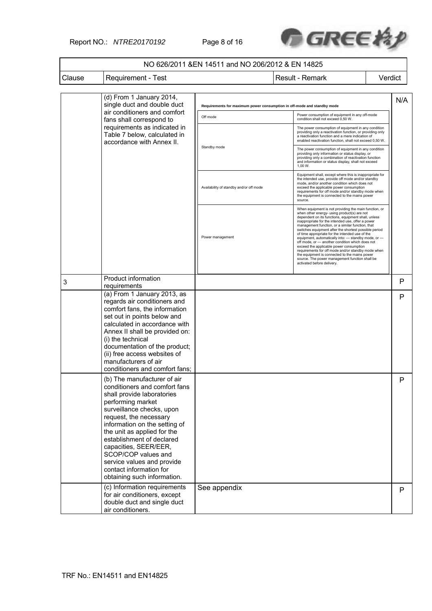Report NO.: *NTRE20170192* Page 8 of 16



#### NO 626/2011 &EN 14511 and NO 206/2012 & EN 14825 Clause Requirement - Test Result - Result - Remark Verdict (d) From 1 January 2014, single duct and double duct air conditioners and comfort fans shall correspond to requirements as indicated in Table 7 below, calculated in accordance with Annex II. **Repries for maximum power consumption in off-moder** Power consumption of equipment in any off-mode<br>
condition shall not exceed 0,50 W.<br>
Condition shall not exceed 0,50 W. Standby mode The power consumption of equipment in any condition providing only a reactivation function, or providing only a reactivation function and a mere indication of enabled reactivation function, shall not exceed 0,50 W. The power consumption of equipment in any condition providing only information or status display, or providing only a combination of reactivation function and information or status display, shall not exceed 1,00 W. Availability of standby and/or off mode Equipment shall, except where this is inappropriate for<br>the intended use, provide off mode and/or standby<br>mode, and/or another condition which does not<br>exceed the applicable power consumption<br>requirements for off mode and/ source. Power management When equipment is not providing the main function, or<br>when other energy- using product(s) are not<br>dependent on its functions, equipment shall, unless<br>inappropriate for the intended use, offer a power management function, or a similar function, that<br>switches equipment after the shortest possible period<br>of time appropriate for the intended use of the<br>equipment, attomatically into: ... standby mode, or  $-\alpha$ <br>of mode, or N/A 3 Product information<br>requirements Product information<br>requirements  $\begin{vmatrix} P \end{vmatrix}$ (a) From 1 January 2013, as regards air conditioners and comfort fans, the information set out in points below and calculated in accordance with Annex II shall be provided on: (i) the technical documentation of the product; (ii) free access websites of manufacturers of air conditioners and comfort fans; P (b) The manufacturer of air conditioners and comfort fans shall provide laboratories performing market surveillance checks, upon request, the necessary information on the setting of the unit as applied for the establishment of declared capacities, SEER/EER, SCOP/COP values and service values and provide contact information for obtaining such information. P (c) Information requirements for air conditioners, except double duct and single duct air conditioners. See appendix **Participal Control** in the particle of  $\mathbb{P}$  p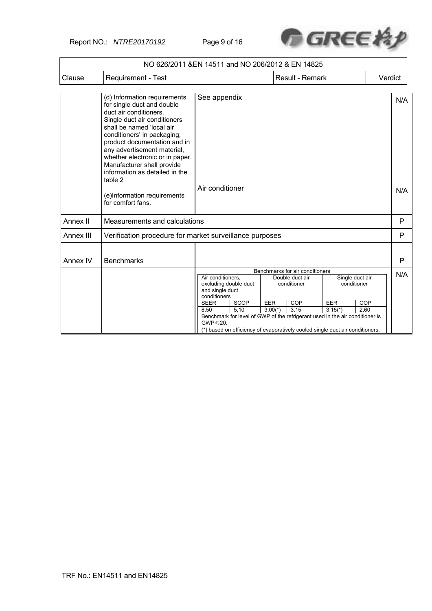Report NO.: *NTRE20170192* Page 9 of 16



|           | NO 626/2011 &EN 14511 and NO 206/2012 & EN 14825                                                                                                                                                                                                                                                                                                              |                                                                                                                                                                                                                                                                                                                                                                                                            |  |  |                 |  |                                                                               |         |
|-----------|---------------------------------------------------------------------------------------------------------------------------------------------------------------------------------------------------------------------------------------------------------------------------------------------------------------------------------------------------------------|------------------------------------------------------------------------------------------------------------------------------------------------------------------------------------------------------------------------------------------------------------------------------------------------------------------------------------------------------------------------------------------------------------|--|--|-----------------|--|-------------------------------------------------------------------------------|---------|
| Clause    | Requirement - Test                                                                                                                                                                                                                                                                                                                                            |                                                                                                                                                                                                                                                                                                                                                                                                            |  |  | Result - Remark |  |                                                                               | Verdict |
|           | (d) Information requirements<br>for single duct and double<br>duct air conditioners.<br>Single duct air conditioners<br>shall be named 'local air<br>conditioners' in packaging,<br>product documentation and in<br>any advertisement material,<br>whether electronic or in paper.<br>Manufacturer shall provide<br>information as detailed in the<br>table 2 | See appendix                                                                                                                                                                                                                                                                                                                                                                                               |  |  |                 |  |                                                                               | N/A     |
|           | (e)Information requirements<br>for comfort fans.                                                                                                                                                                                                                                                                                                              | Air conditioner                                                                                                                                                                                                                                                                                                                                                                                            |  |  |                 |  |                                                                               | N/A     |
| Annex II  | Measurements and calculations                                                                                                                                                                                                                                                                                                                                 |                                                                                                                                                                                                                                                                                                                                                                                                            |  |  |                 |  |                                                                               | P       |
| Annex III | Verification procedure for market surveillance purposes                                                                                                                                                                                                                                                                                                       |                                                                                                                                                                                                                                                                                                                                                                                                            |  |  |                 |  |                                                                               | P       |
| Annex IV  | <b>Benchmarks</b>                                                                                                                                                                                                                                                                                                                                             |                                                                                                                                                                                                                                                                                                                                                                                                            |  |  |                 |  |                                                                               | P       |
|           |                                                                                                                                                                                                                                                                                                                                                               | Benchmarks for air conditioners<br>Air conditioners,<br>Single duct air<br>Double duct air<br>excluding double duct<br>conditioner<br>conditioner<br>and single duct<br>conditioners<br>EER<br><b>COP</b><br>EER<br><b>SEER</b><br>SCOP<br>COP<br>5.10<br>3.15<br>2.60<br>8.50<br>$3.00(*)$<br>$3.15(*)$<br>Benchmark for level of GWP of the refrigerant used in the air conditioner is<br>$GWP \le 20$ . |  |  |                 |  | (*) based on efficiency of evaporatively cooled single duct air conditioners. | N/A     |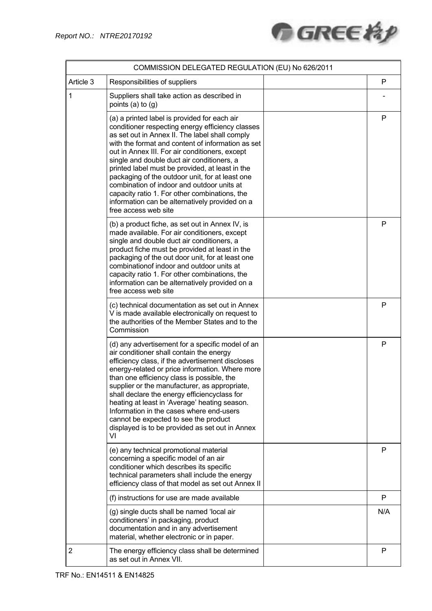

|                | COMMISSION DELEGATED REGULATION (EU) No 626/2011                                                                                                                                                                                                                                                                                                                                                                                                                                                                                                                                       |     |
|----------------|----------------------------------------------------------------------------------------------------------------------------------------------------------------------------------------------------------------------------------------------------------------------------------------------------------------------------------------------------------------------------------------------------------------------------------------------------------------------------------------------------------------------------------------------------------------------------------------|-----|
| Article 3      | Responsibilities of suppliers                                                                                                                                                                                                                                                                                                                                                                                                                                                                                                                                                          | P   |
| 1              | Suppliers shall take action as described in<br>points (a) to (g)                                                                                                                                                                                                                                                                                                                                                                                                                                                                                                                       |     |
|                | (a) a printed label is provided for each air<br>conditioner respecting energy efficiency classes<br>as set out in Annex II. The label shall comply<br>with the format and content of information as set<br>out in Annex III. For air conditioners, except<br>single and double duct air conditioners, a<br>printed label must be provided, at least in the<br>packaging of the outdoor unit, for at least one<br>combination of indoor and outdoor units at<br>capacity ratio 1. For other combinations, the<br>information can be alternatively provided on a<br>free access web site | P   |
|                | (b) a product fiche, as set out in Annex IV, is<br>made available. For air conditioners, except<br>single and double duct air conditioners, a<br>product fiche must be provided at least in the<br>packaging of the out door unit, for at least one<br>combination of indoor and outdoor units at<br>capacity ratio 1. For other combinations, the<br>information can be alternatively provided on a<br>free access web site                                                                                                                                                           | P   |
|                | (c) technical documentation as set out in Annex<br>V is made available electronically on request to<br>the authorities of the Member States and to the<br>Commission                                                                                                                                                                                                                                                                                                                                                                                                                   | P   |
|                | (d) any advertisement for a specific model of an<br>air conditioner shall contain the energy<br>efficiency class, if the advertisement discloses<br>energy-related or price information. Where more<br>than one efficiency class is possible, the<br>supplier or the manufacturer, as appropriate,<br>shall declare the energy efficiencyclass for<br>heating at least in 'Average' heating season.<br>Information in the cases where end-users<br>cannot be expected to see the product<br>displayed is to be provided as set out in Annex<br>VI                                      | P   |
|                | (e) any technical promotional material<br>concerning a specific model of an air<br>conditioner which describes its specific<br>technical parameters shall include the energy<br>efficiency class of that model as set out Annex II                                                                                                                                                                                                                                                                                                                                                     | P   |
|                | (f) instructions for use are made available                                                                                                                                                                                                                                                                                                                                                                                                                                                                                                                                            | P   |
|                | (g) single ducts shall be named 'local air<br>conditioners' in packaging, product<br>documentation and in any advertisement<br>material, whether electronic or in paper.                                                                                                                                                                                                                                                                                                                                                                                                               | N/A |
| $\overline{2}$ | The energy efficiency class shall be determined<br>as set out in Annex VII.                                                                                                                                                                                                                                                                                                                                                                                                                                                                                                            | P   |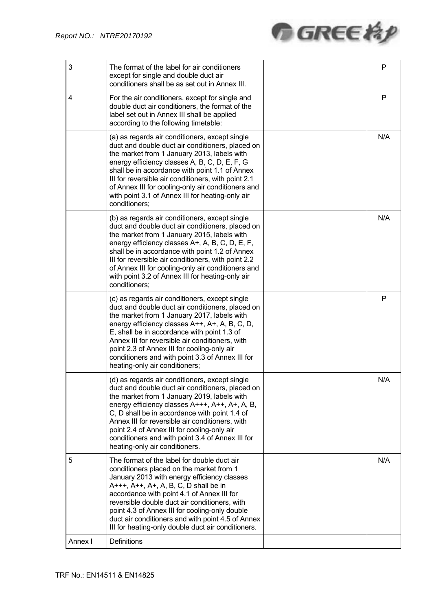

| 3       | The format of the label for air conditioners<br>except for single and double duct air<br>conditioners shall be as set out in Annex III.                                                                                                                                                                                                                                                                                                      | P   |
|---------|----------------------------------------------------------------------------------------------------------------------------------------------------------------------------------------------------------------------------------------------------------------------------------------------------------------------------------------------------------------------------------------------------------------------------------------------|-----|
| 4       | For the air conditioners, except for single and<br>double duct air conditioners, the format of the<br>label set out in Annex III shall be applied<br>according to the following timetable:                                                                                                                                                                                                                                                   | P   |
|         | (a) as regards air conditioners, except single<br>duct and double duct air conditioners, placed on<br>the market from 1 January 2013, labels with<br>energy efficiency classes A, B, C, D, E, F, G<br>shall be in accordance with point 1.1 of Annex<br>III for reversible air conditioners, with point 2.1<br>of Annex III for cooling-only air conditioners and<br>with point 3.1 of Annex III for heating-only air<br>conditioners;       | N/A |
|         | (b) as regards air conditioners, except single<br>duct and double duct air conditioners, placed on<br>the market from 1 January 2015, labels with<br>energy efficiency classes A+, A, B, C, D, E, F,<br>shall be in accordance with point 1.2 of Annex<br>III for reversible air conditioners, with point 2.2<br>of Annex III for cooling-only air conditioners and<br>with point 3.2 of Annex III for heating-only air<br>conditioners;     | N/A |
|         | (c) as regards air conditioners, except single<br>duct and double duct air conditioners, placed on<br>the market from 1 January 2017, labels with<br>energy efficiency classes A++, A+, A, B, C, D,<br>E, shall be in accordance with point 1.3 of<br>Annex III for reversible air conditioners, with<br>point 2.3 of Annex III for cooling-only air<br>conditioners and with point 3.3 of Annex III for<br>heating-only air conditioners;   | P   |
|         | (d) as regards air conditioners, except single<br>duct and double duct air conditioners, placed on<br>the market from 1 January 2019, labels with<br>energy efficiency classes A+++, A++, A+, A, B,<br>C, D shall be in accordance with point 1.4 of<br>Annex III for reversible air conditioners, with<br>point 2.4 of Annex III for cooling-only air<br>conditioners and with point 3.4 of Annex III for<br>heating-only air conditioners. | N/A |
| 5       | The format of the label for double duct air<br>conditioners placed on the market from 1<br>January 2013 with energy efficiency classes<br>A+++, A++, A+, A, B, C, D shall be in<br>accordance with point 4.1 of Annex III for<br>reversible double duct air conditioners, with<br>point 4.3 of Annex III for cooling-only double<br>duct air conditioners and with point 4.5 of Annex<br>III for heating-only double duct air conditioners.  | N/A |
| Annex I | Definitions                                                                                                                                                                                                                                                                                                                                                                                                                                  |     |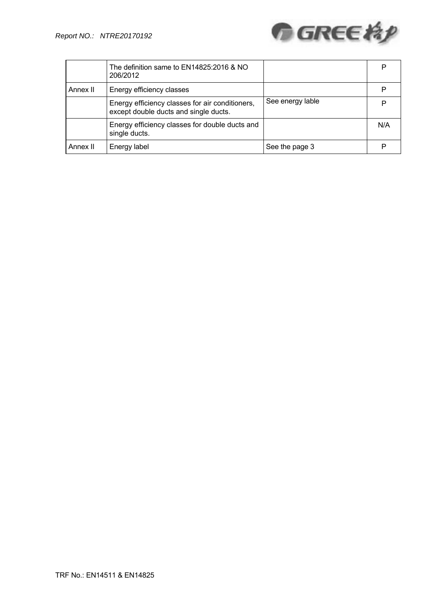

|          | The definition same to EN14825:2016 & NO<br>206/2012                                     |                  | P   |
|----------|------------------------------------------------------------------------------------------|------------------|-----|
| Annex II | Energy efficiency classes                                                                |                  | P   |
|          | Energy efficiency classes for air conditioners,<br>except double ducts and single ducts. | See energy lable | P   |
|          | Energy efficiency classes for double ducts and<br>single ducts.                          |                  | N/A |
| Annex II | Energy label                                                                             | See the page 3   | P   |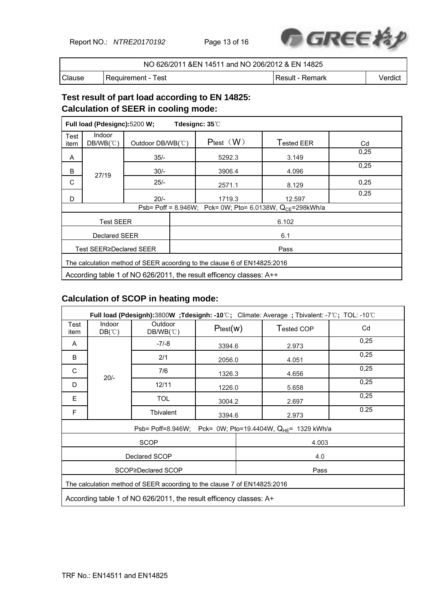Report NO.: *NTRE20170192* Page 13 of 16



|        | NO 626/2011 & EN 14511 and NO 206/2012 & EN 14825 |                   |         |
|--------|---------------------------------------------------|-------------------|---------|
| Clause | l Requirement - Test                              | l Result - Remark | Verdict |

# **Test result of part load according to EN 14825: Calculation of SEER in cooling mode:**

|                  | Full load (Pdesignc):5200 W;                                             |                   |      | Tdesignc: 35°C                                                      |                                                               |      |  |  |  |        |       |      |
|------------------|--------------------------------------------------------------------------|-------------------|------|---------------------------------------------------------------------|---------------------------------------------------------------|------|--|--|--|--------|-------|------|
| Test<br>item     | Indoor<br>$DB/WB(^\circ\mathrm{C})$                                      | Outdoor DB/WB(°C) |      | Ptest $(W)$                                                         | <b>Tested EER</b>                                             | Cd   |  |  |  |        |       |      |
| A                |                                                                          | $35/-$            |      |                                                                     |                                                               |      |  |  |  | 5292.3 | 3.149 | 0.25 |
| B                | 27/19                                                                    | $30/-$            |      | 3906.4                                                              | 4.096                                                         | 0,25 |  |  |  |        |       |      |
| C                |                                                                          | $25/-$            |      | 2571.1                                                              | 8.129                                                         | 0,25 |  |  |  |        |       |      |
| D                |                                                                          | $20/-$            |      | 1719.3                                                              | 12.597                                                        | 0,25 |  |  |  |        |       |      |
|                  |                                                                          |                   |      |                                                                     | Psb= Poff = 8.946W; Pck= 0W; Pto= 6.0138W, $Q_{CE}$ =298kWh/a |      |  |  |  |        |       |      |
| <b>Test SEER</b> |                                                                          |                   |      | 6.102                                                               |                                                               |      |  |  |  |        |       |      |
|                  | <b>Declared SEER</b><br>6.1                                              |                   |      |                                                                     |                                                               |      |  |  |  |        |       |      |
|                  | Test SEER≥Declared SEER                                                  |                   | Pass |                                                                     |                                                               |      |  |  |  |        |       |      |
|                  | The calculation method of SEER acoording to the clause 6 of EN14825:2016 |                   |      |                                                                     |                                                               |      |  |  |  |        |       |      |
|                  |                                                                          |                   |      | According table 1 of NO 626/2011, the result efficency classes: A++ |                                                               |      |  |  |  |        |       |      |

# **Calculation of SCOP in heating mode:**

|              |                                  |                                                                          |          |  | Full load (Pdesignh):3800W;Tdesignh: -10℃; Climate: Average; Tbivalent: -7℃; TOL: -10℃ |      |
|--------------|----------------------------------|--------------------------------------------------------------------------|----------|--|----------------------------------------------------------------------------------------|------|
| Test<br>item | Indoor<br>$DB(^\circ\mathbb{C})$ | Outdoor<br>$DB/WB(^\circ\mathrm{C})$                                     | Ptest(w) |  | Tested COP                                                                             | Cd   |
| A            |                                  | $-7/-8$                                                                  | 3394.6   |  | 2.973                                                                                  | 0,25 |
| B            |                                  | 2/1                                                                      | 2056.0   |  | 4.051                                                                                  | 0,25 |
| C            | $20/-$                           | 7/6                                                                      | 1326.3   |  | 4.656                                                                                  | 0,25 |
| D            |                                  | 12/11                                                                    | 1226.0   |  | 5.658                                                                                  | 0,25 |
| Е            |                                  | <b>TOL</b>                                                               | 3004.2   |  | 2.697                                                                                  | 0,25 |
| F            |                                  | <b>Tbivalent</b>                                                         | 3394.6   |  | 2.973                                                                                  | 0.25 |
|              |                                  | Psb= Poff=8.946W;                                                        |          |  | Pck= 0W; Pto=19.4404W, $Q_{HE}$ = 1329 kWh/a                                           |      |
|              |                                  | <b>SCOP</b>                                                              |          |  | 4.003                                                                                  |      |
|              | Declared SCOP<br>4.0             |                                                                          |          |  |                                                                                        |      |
|              | SCOP≥Declared SCOP<br>Pass       |                                                                          |          |  |                                                                                        |      |
|              |                                  | The calculation method of SEER acoording to the clause 7 of EN14825:2016 |          |  |                                                                                        |      |
|              |                                  | According table 1 of NO 626/2011, the result efficency classes: A+       |          |  |                                                                                        |      |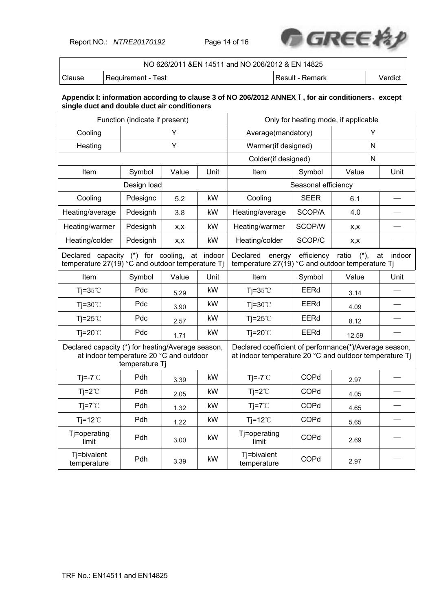Report NO.: *NTRE20170192* Page 14 of 16



|        | NO 626/2011 & EN 14511 and NO 206/2012 & EN 14825 |                  |         |
|--------|---------------------------------------------------|------------------|---------|
| Clause | l Requirement - Test                              | ∣Result - Remark | Verdict |

### **Appendix I: information according to clause 3 of NO 206/2012 ANNEX**Ⅰ**, for air conditioners**,**except single duct and double duct air conditioners**

|                                                                                                     | Function (indicate if present) |       |      | Only for heating mode, if applicable                                                                             |                     |                 |              |
|-----------------------------------------------------------------------------------------------------|--------------------------------|-------|------|------------------------------------------------------------------------------------------------------------------|---------------------|-----------------|--------------|
| Cooling                                                                                             |                                | Υ     |      | Average(mandatory)                                                                                               |                     | Y               |              |
| Heating                                                                                             |                                | Y     |      | Warmer(if designed)                                                                                              |                     | N               |              |
|                                                                                                     |                                |       |      | Colder(if designed)                                                                                              |                     | N               |              |
| Item                                                                                                | Symbol                         | Value | Unit | Item                                                                                                             | Symbol              | Value           | Unit         |
| Design load                                                                                         |                                |       |      |                                                                                                                  | Seasonal efficiency |                 |              |
| Cooling                                                                                             | Pdesignc                       | 5.2   | kW   | Cooling                                                                                                          | <b>SEER</b>         | 6.1             |              |
| Heating/average                                                                                     | Pdesignh                       | 3.8   | kW   | Heating/average                                                                                                  | SCOP/A              | 4.0             |              |
| Heating/warmer                                                                                      | Pdesignh                       | X, X  | kW   | Heating/warmer                                                                                                   | SCOP/W              | X, X            |              |
| Heating/colder                                                                                      | Pdesignh                       | x,x   | kW   | Heating/colder                                                                                                   | SCOP/C              | X, X            |              |
| Declared capacity (*) for cooling,<br>at indoor<br>temperature 27(19) °C and outdoor temperature Tj |                                |       |      | Declared<br>energy<br>temperature 27(19) °C and outdoor temperature Tj                                           | efficiency          | ratio<br>$(*),$ | at<br>indoor |
| Item                                                                                                | Symbol                         | Value | Unit | Item                                                                                                             | Symbol              | Value           | Unit         |
| Tj= $35^{\circ}$ C                                                                                  | Pdc                            | 5.29  | kW   | Tj= $35^{\circ}$ C                                                                                               | <b>EERd</b>         | 3.14            |              |
| $Ti=30^{\circ}C$                                                                                    | Pdc                            | 3.90  | kW   | $Ti=30^{\circ}C$                                                                                                 | EERd                | 4.09            |              |
| Tj=25 $°C$                                                                                          | Pdc                            | 2.57  | kW   | Tj=25 $°C$                                                                                                       | <b>EERd</b>         | 8.12            |              |
| Tj=20 $°C$                                                                                          | Pdc                            | 1.71  | kW   | $Ti=20^{\circ}$                                                                                                  | EERd                | 12.59           |              |
| Declared capacity (*) for heating/Average season,<br>at indoor temperature 20 °C and outdoor        | temperature Tj                 |       |      | Declared coefficient of performance(*)/Average season,<br>at indoor temperature 20 °C and outdoor temperature Tj |                     |                 |              |
| Tj=-7 $°C$                                                                                          | Pdh                            | 3.39  | kW   | $Ti=-7^{\circ}C$                                                                                                 | COPd                | 2.97            |              |
| $Tj = 2^{\circ}C$                                                                                   | Pdh                            | 2.05  | kW   | $Tj = 2^{\circ}C$                                                                                                | COPd                | 4.05            |              |
| $Ti=7^{\circ}C$                                                                                     | Pdh                            | 1.32  | kW   | $Tj = 7^{\circ}$                                                                                                 | COPd                | 4.65            |              |
| $Tj=12^{\circ}C$                                                                                    | <b>Pdh</b>                     | 1.22  | kW   | Tj=12 $°C$                                                                                                       | COPd                | 5.65            |              |
| Tj=operating<br>limit                                                                               | Pdh                            | 3.00  | kW   | Tj=operating<br>limit                                                                                            | COPd                | 2.69            |              |
| Tj=bivalent<br>temperature                                                                          | Pdh                            | 3.39  | kW   | Tj=bivalent<br>temperature                                                                                       | COPd                | 2.97            |              |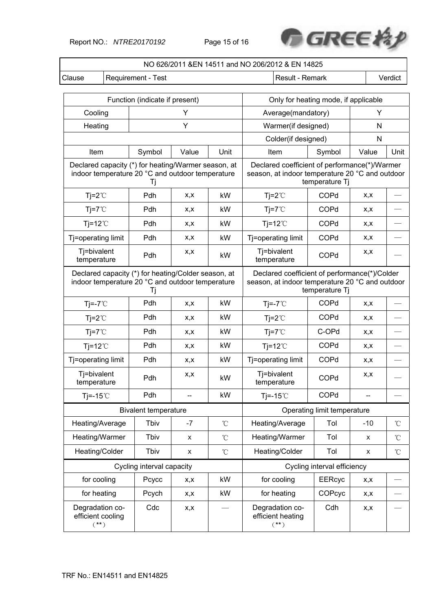Report NO.: *NTRE20170192* Page 15 of 16



|                                                                                                               |                                 |                                |      |                                                                                                                    | NO 626/2011 &EN 14511 and NO 206/2012 & EN 14825 |                             |       |         |
|---------------------------------------------------------------------------------------------------------------|---------------------------------|--------------------------------|------|--------------------------------------------------------------------------------------------------------------------|--------------------------------------------------|-----------------------------|-------|---------|
| Clause                                                                                                        |                                 | Requirement - Test             |      |                                                                                                                    | Result - Remark                                  |                             |       | Verdict |
|                                                                                                               |                                 |                                |      |                                                                                                                    |                                                  |                             |       |         |
|                                                                                                               |                                 | Function (indicate if present) |      |                                                                                                                    | Only for heating mode, if applicable             |                             |       |         |
| Cooling                                                                                                       |                                 |                                | Y    |                                                                                                                    | Υ<br>Average(mandatory)                          |                             |       |         |
| Heating                                                                                                       |                                 |                                | Y    |                                                                                                                    | Warmer(if designed)<br>Ν                         |                             |       |         |
|                                                                                                               | Symbol<br>Unit<br>Value<br>Item |                                |      |                                                                                                                    | Colder(if designed)                              | Ν                           |       |         |
|                                                                                                               |                                 |                                |      |                                                                                                                    | Item                                             | Symbol                      | Value | Unit    |
| Declared capacity (*) for heating/Warmer season, at<br>indoor temperature 20 °C and outdoor temperature<br>Ιi |                                 |                                |      | Declared coefficient of performance(*)/Warmer<br>season, at indoor temperature 20 °C and outdoor                   | temperature Tj                                   |                             |       |         |
| $Tj = 2^{\circ}C$                                                                                             |                                 | Pdh                            | x,x  | kW                                                                                                                 | $Tj = 2^{\circ}C$                                | COPd                        | X, X  |         |
| $Ti=7^{\circ}C$                                                                                               |                                 | Pdh                            | X,X  | kW                                                                                                                 | $Tj = 7^{\circ}$                                 | <b>COPd</b>                 | X,X   |         |
| $Tj=12^{\circ}C$                                                                                              |                                 | Pdh                            | X,X  | kW                                                                                                                 | $Ti=12^{\circ}$                                  | COPd                        | X,X   |         |
| Tj=operating limit                                                                                            |                                 | Pdh                            | x,x  | kW                                                                                                                 | Tj=operating limit                               | COPd                        | X,X   |         |
| Tj=bivalent<br>temperature                                                                                    |                                 | Pdh                            | X,X  | kW                                                                                                                 | Tj=bivalent<br>temperature                       | COPd                        | X, X  |         |
| Declared capacity (*) for heating/Colder season, at<br>indoor temperature 20 °C and outdoor temperature<br>Tj |                                 |                                |      | Declared coefficient of performance(*)/Colder<br>season, at indoor temperature 20 °C and outdoor<br>temperature Tj |                                                  |                             |       |         |
| $Tj = -7^{\circ}C$                                                                                            |                                 | Pdh                            | X,X  | kW                                                                                                                 | $Ti = -7^{\circ}$                                | COPd                        | X, X  |         |
| $Tj = 2^{\circ}C$                                                                                             |                                 | Pdh                            | X,X  | kW                                                                                                                 | $Tj=2^{\circ}C$                                  | COPd                        | x,x   |         |
| $Tj = 7^{\circ}$                                                                                              |                                 | Pdh                            | X,X  | kW                                                                                                                 | $Tj=7^{\circ}C$                                  | C-OPd                       | X,X   |         |
| $Tj=12^{\circ}C$                                                                                              |                                 | Pdh                            | X,X  | kW                                                                                                                 | $Tj=12^{\circ}C$                                 | COPd                        | x,x   |         |
| Tj=operating limit                                                                                            |                                 | Pdh                            | X,X  | kW                                                                                                                 | Tj=operating limit                               | COPd                        | X,X   |         |
| Tj=bivalent<br>temperature                                                                                    |                                 | Pdh                            | X,X  | kW                                                                                                                 | Tj=bivalent<br>temperature                       | COPd                        | x,x   |         |
| Tj=-15 $°C$                                                                                                   |                                 | Pdh                            |      | kW                                                                                                                 | $Ti=-15^{\circ}$                                 | COPd                        |       |         |
|                                                                                                               |                                 | <b>Bivalent temperature</b>    |      |                                                                                                                    |                                                  | Operating limit temperature |       |         |
| Heating/Average                                                                                               |                                 | Tbiv                           | $-7$ | $^\circ\!{\rm C}$                                                                                                  | Heating/Average                                  | Tol                         | $-10$ | °C      |
| Heating/Warmer                                                                                                |                                 | Tbiv                           | X    | $^{\circ}\!{\rm C}$                                                                                                | Heating/Warmer                                   | Tol                         | x     | °C      |
| Heating/Colder                                                                                                |                                 | Tbiv                           | X    | $^{\circ}\!{\rm C}$                                                                                                | Heating/Colder                                   | Tol                         | X     | °C      |
|                                                                                                               |                                 | Cycling interval capacity      |      |                                                                                                                    |                                                  | Cycling interval efficiency |       |         |
| for cooling                                                                                                   |                                 | Pcycc                          | x,x  | kW                                                                                                                 | for cooling                                      | <b>EERcyc</b>               | x,x   |         |
| for heating                                                                                                   |                                 | Pcych                          | x,x  | kW                                                                                                                 | for heating                                      | COPcyc                      | x,x   |         |
| Degradation co-<br>efficient cooling<br>$(**)$                                                                |                                 | Cdc                            | x,x  |                                                                                                                    | Degradation co-<br>efficient heating<br>$(**)$   | Cdh                         | x,x   |         |